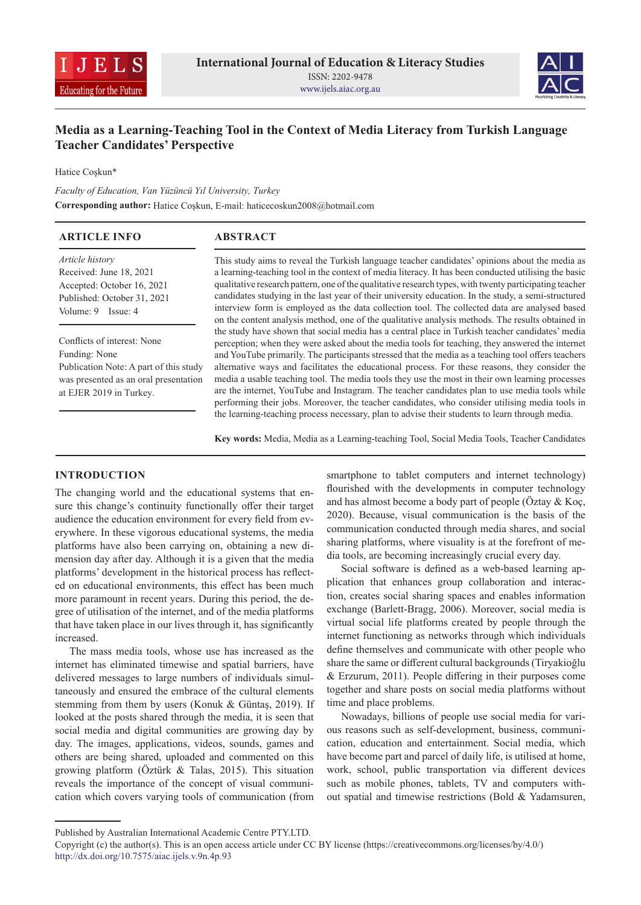



# **Media as a Learning-Teaching Tool in the Context of Media Literacy from Turkish Language Teacher Candidates' Perspective**

Hatice Coşkun\*

*Faculty of Education, Van Yüzüncü Yıl University, Turkey* **Corresponding author:** Hatice Coşkun, E-mail: haticecoskun2008@hotmail.com

| <b>ARTICLE INFO</b>                    | <b>ABSTRACT</b>                                                                                        |
|----------------------------------------|--------------------------------------------------------------------------------------------------------|
| Article history                        | This study aims to reveal the Turkish language teacher candidates' opinions about the media as         |
| Received: June 18, 2021                | a learning-teaching tool in the context of media literacy. It has been conducted utilising the basic   |
| Accepted: October 16, 2021             | qualitative research pattern, one of the qualitative research types, with twenty participating teacher |
| Published: October 31, 2021            | candidates studying in the last year of their university education. In the study, a semi-structured    |
| Volume: 9 Issue: 4                     | interview form is employed as the data collection tool. The collected data are analysed based          |
|                                        | on the content analysis method, one of the qualitative analysis methods. The results obtained in       |
|                                        | the study have shown that social media has a central place in Turkish teacher candidates' media        |
| Conflicts of interest: None            | perception; when they were asked about the media tools for teaching, they answered the internet        |
| Funding: None                          | and YouTube primarily. The participants stressed that the media as a teaching tool offers teachers     |
| Publication Note: A part of this study | alternative ways and facilitates the educational process. For these reasons, they consider the         |
| was presented as an oral presentation  | media a usable teaching tool. The media tools they use the most in their own learning processes        |
| at EJER 2019 in Turkey.                | are the internet, YouTube and Instagram. The teacher candidates plan to use media tools while          |
|                                        | performing their jobs. Moreover, the teacher candidates, who consider utilising media tools in         |
|                                        | the learning-teaching process necessary, plan to advise their students to learn through media.         |

**Key words:** Media, Media as a Learning-teaching Tool, Social Media Tools, Teacher Candidates

#### **INTRODUCTION**

The changing world and the educational systems that ensure this change's continuity functionally offer their target audience the education environment for every field from everywhere. In these vigorous educational systems, the media platforms have also been carrying on, obtaining a new dimension day after day. Although it is a given that the media platforms' development in the historical process has reflected on educational environments, this effect has been much more paramount in recent years. During this period, the degree of utilisation of the internet, and of the media platforms that have taken place in our lives through it, has significantly increased.

The mass media tools, whose use has increased as the internet has eliminated timewise and spatial barriers, have delivered messages to large numbers of individuals simultaneously and ensured the embrace of the cultural elements stemming from them by users (Konuk & Güntaş, 2019). If looked at the posts shared through the media, it is seen that social media and digital communities are growing day by day. The images, applications, videos, sounds, games and others are being shared, uploaded and commented on this growing platform (Öztürk & Talas, 2015). This situation reveals the importance of the concept of visual communication which covers varying tools of communication (from

smartphone to tablet computers and internet technology) flourished with the developments in computer technology and has almost become a body part of people (Öztay & Koç, 2020). Because, visual communication is the basis of the communication conducted through media shares, and social sharing platforms, where visuality is at the forefront of media tools, are becoming increasingly crucial every day.

Social software is defined as a web-based learning application that enhances group collaboration and interaction, creates social sharing spaces and enables information exchange (Barlett-Bragg, 2006). Moreover, social media is virtual social life platforms created by people through the internet functioning as networks through which individuals define themselves and communicate with other people who share the same or different cultural backgrounds (Tiryakioğlu & Erzurum, 2011). People differing in their purposes come together and share posts on social media platforms without time and place problems.

Nowadays, billions of people use social media for various reasons such as self-development, business, communication, education and entertainment. Social media, which have become part and parcel of daily life, is utilised at home, work, school, public transportation via different devices such as mobile phones, tablets, TV and computers without spatial and timewise restrictions (Bold & Yadamsuren,

Published by Australian International Academic Centre PTY.LTD.

Copyright (c) the author(s). This is an open access article under CC BY license (https://creativecommons.org/licenses/by/4.0/) http://dx.doi.org/10.7575/aiac.ijels.v.9n.4p.93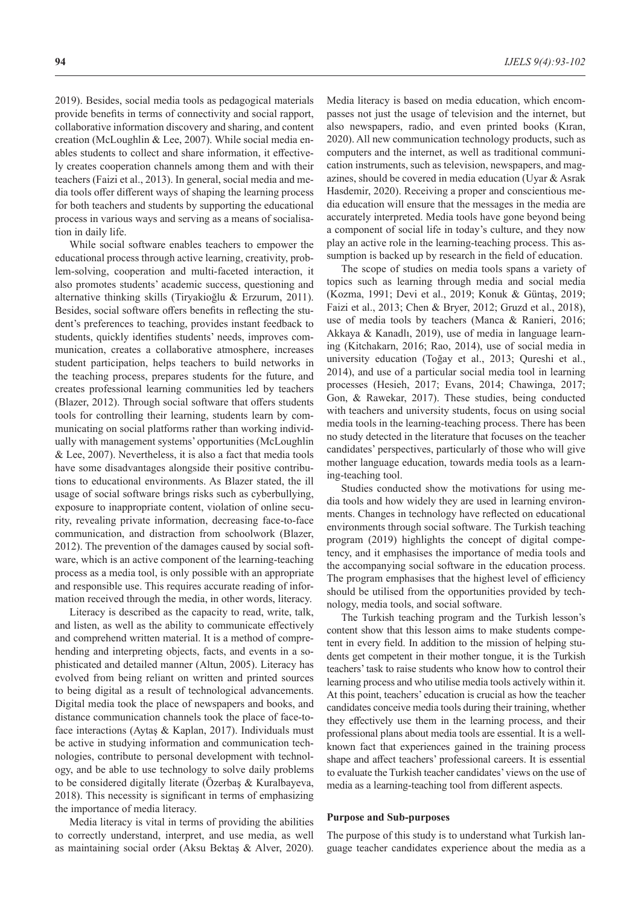2019). Besides, social media tools as pedagogical materials provide benefits in terms of connectivity and social rapport, collaborative information discovery and sharing, and content creation (McLoughlin & Lee, 2007). While social media enables students to collect and share information, it effectively creates cooperation channels among them and with their teachers (Faizi et al., 2013). In general, social media and media tools offer different ways of shaping the learning process for both teachers and students by supporting the educational process in various ways and serving as a means of socialisation in daily life.

While social software enables teachers to empower the educational process through active learning, creativity, problem-solving, cooperation and multi-faceted interaction, it also promotes students' academic success, questioning and alternative thinking skills (Tiryakioğlu & Erzurum, 2011). Besides, social software offers benefits in reflecting the student's preferences to teaching, provides instant feedback to students, quickly identifies students' needs, improves communication, creates a collaborative atmosphere, increases student participation, helps teachers to build networks in the teaching process, prepares students for the future, and creates professional learning communities led by teachers (Blazer, 2012). Through social software that offers students tools for controlling their learning, students learn by communicating on social platforms rather than working individually with management systems' opportunities (McLoughlin & Lee, 2007). Nevertheless, it is also a fact that media tools have some disadvantages alongside their positive contributions to educational environments. As Blazer stated, the ill usage of social software brings risks such as cyberbullying, exposure to inappropriate content, violation of online security, revealing private information, decreasing face-to-face communication, and distraction from schoolwork (Blazer, 2012). The prevention of the damages caused by social software, which is an active component of the learning-teaching process as a media tool, is only possible with an appropriate and responsible use. This requires accurate reading of information received through the media, in other words, literacy.

Literacy is described as the capacity to read, write, talk, and listen, as well as the ability to communicate effectively and comprehend written material. It is a method of comprehending and interpreting objects, facts, and events in a sophisticated and detailed manner (Altun, 2005). Literacy has evolved from being reliant on written and printed sources to being digital as a result of technological advancements. Digital media took the place of newspapers and books, and distance communication channels took the place of face-toface interactions (Aytaş & Kaplan, 2017). Individuals must be active in studying information and communication technologies, contribute to personal development with technology, and be able to use technology to solve daily problems to be considered digitally literate (Özerbaş & Kuralbayeva, 2018). This necessity is significant in terms of emphasizing the importance of media literacy.

Media literacy is vital in terms of providing the abilities to correctly understand, interpret, and use media, as well as maintaining social order (Aksu Bektaş & Alver, 2020).

Media literacy is based on media education, which encompasses not just the usage of television and the internet, but also newspapers, radio, and even printed books (Kıran, 2020). All new communication technology products, such as computers and the internet, as well as traditional communication instruments, such as television, newspapers, and magazines, should be covered in media education (Uyar & Asrak Hasdemir, 2020). Receiving a proper and conscientious media education will ensure that the messages in the media are accurately interpreted. Media tools have gone beyond being a component of social life in today's culture, and they now play an active role in the learning-teaching process. This assumption is backed up by research in the field of education.

The scope of studies on media tools spans a variety of topics such as learning through media and social media (Kozma, 1991; Devi et al., 2019; Konuk & Güntaş, 2019; Faizi et al., 2013; Chen & Bryer, 2012; Gruzd et al., 2018), use of media tools by teachers (Manca & Ranieri, 2016; Akkaya & Kanadlı, 2019), use of media in language learning (Kitchakarn, 2016; Rao, 2014), use of social media in university education (Toğay et al., 2013; Qureshi et al., 2014), and use of a particular social media tool in learning processes (Hesieh, 2017; Evans, 2014; Chawinga, 2017; Gon, & Rawekar, 2017). These studies, being conducted with teachers and university students, focus on using social media tools in the learning-teaching process. There has been no study detected in the literature that focuses on the teacher candidates' perspectives, particularly of those who will give mother language education, towards media tools as a learning-teaching tool.

Studies conducted show the motivations for using media tools and how widely they are used in learning environments. Changes in technology have reflected on educational environments through social software. The Turkish teaching program (2019) highlights the concept of digital competency, and it emphasises the importance of media tools and the accompanying social software in the education process. The program emphasises that the highest level of efficiency should be utilised from the opportunities provided by technology, media tools, and social software.

The Turkish teaching program and the Turkish lesson's content show that this lesson aims to make students competent in every field. In addition to the mission of helping students get competent in their mother tongue, it is the Turkish teachers' task to raise students who know how to control their learning process and who utilise media tools actively within it. At this point, teachers' education is crucial as how the teacher candidates conceive media tools during their training, whether they effectively use them in the learning process, and their professional plans about media tools are essential. It is a wellknown fact that experiences gained in the training process shape and affect teachers' professional careers. It is essential to evaluate the Turkish teacher candidates' views on the use of media as a learning-teaching tool from different aspects.

#### **Purpose and Sub-purposes**

The purpose of this study is to understand what Turkish language teacher candidates experience about the media as a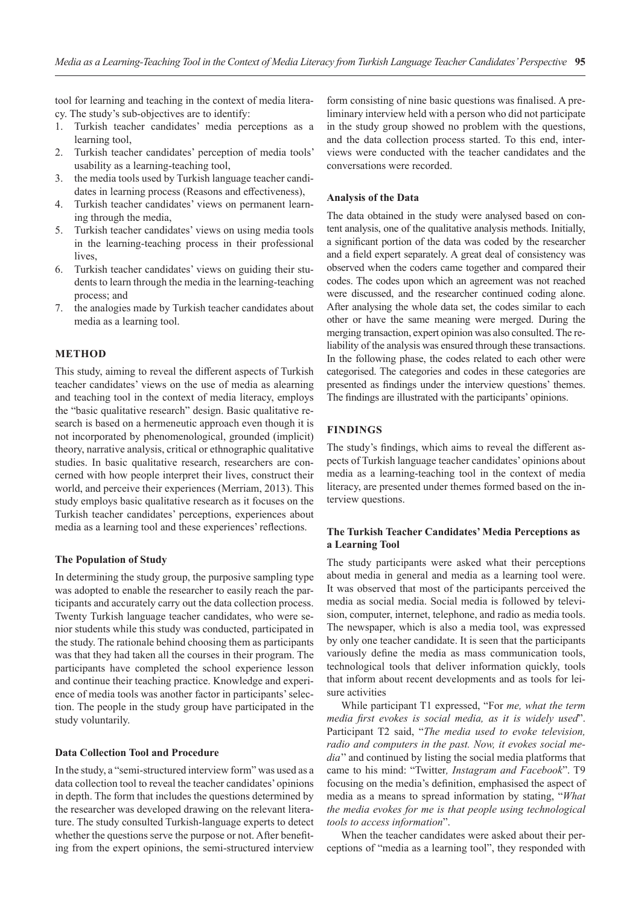tool for learning and teaching in the context of media literacy. The study's sub-objectives are to identify:

- 1. Turkish teacher candidates' media perceptions as a learning tool,
- 2. Turkish teacher candidates' perception of media tools' usability as a learning-teaching tool,
- 3. the media tools used by Turkish language teacher candidates in learning process (Reasons and effectiveness),
- 4. Turkish teacher candidates' views on permanent learning through the media,
- 5. Turkish teacher candidates' views on using media tools in the learning-teaching process in their professional lives.
- 6. Turkish teacher candidates' views on guiding their students to learn through the media in the learning-teaching process; and
- 7. the analogies made by Turkish teacher candidates about media as a learning tool.

#### **METHOD**

This study, aiming to reveal the different aspects of Turkish teacher candidates' views on the use of media as alearning and teaching tool in the context of media literacy, employs the "basic qualitative research" design. Basic qualitative research is based on a hermeneutic approach even though it is not incorporated by phenomenological, grounded (implicit) theory, narrative analysis, critical or ethnographic qualitative studies. In basic qualitative research, researchers are concerned with how people interpret their lives, construct their world, and perceive their experiences (Merriam, 2013). This study employs basic qualitative research as it focuses on the Turkish teacher candidates' perceptions, experiences about media as a learning tool and these experiences' reflections.

#### **The Population of Study**

In determining the study group, the purposive sampling type was adopted to enable the researcher to easily reach the participants and accurately carry out the data collection process. Twenty Turkish language teacher candidates, who were senior students while this study was conducted, participated in the study. The rationale behind choosing them as participants was that they had taken all the courses in their program. The participants have completed the school experience lesson and continue their teaching practice. Knowledge and experience of media tools was another factor in participants' selection. The people in the study group have participated in the study voluntarily.

#### **Data Collection Tool and Procedure**

In the study, a "semi-structured interview form" was used as a data collection tool to reveal the teacher candidates' opinions in depth. The form that includes the questions determined by the researcher was developed drawing on the relevant literature. The study consulted Turkish-language experts to detect whether the questions serve the purpose or not. After benefiting from the expert opinions, the semi-structured interview form consisting of nine basic questions was finalised. A preliminary interview held with a person who did not participate in the study group showed no problem with the questions, and the data collection process started. To this end, interviews were conducted with the teacher candidates and the conversations were recorded.

#### **Analysis of the Data**

The data obtained in the study were analysed based on content analysis, one of the qualitative analysis methods. Initially, a significant portion of the data was coded by the researcher and a field expert separately. A great deal of consistency was observed when the coders came together and compared their codes. The codes upon which an agreement was not reached were discussed, and the researcher continued coding alone. After analysing the whole data set, the codes similar to each other or have the same meaning were merged. During the merging transaction, expert opinion was also consulted. The reliability of the analysis was ensured through these transactions. In the following phase, the codes related to each other were categorised. The categories and codes in these categories are presented as findings under the interview questions' themes. The findings are illustrated with the participants' opinions.

### **FINDINGS**

The study's findings, which aims to reveal the different aspects of Turkish language teacher candidates' opinions about media as a learning-teaching tool in the context of media literacy, are presented under themes formed based on the interview questions.

#### **The Turkish Teacher Candidates' Media Perceptions as a Learning Tool**

The study participants were asked what their perceptions about media in general and media as a learning tool were. It was observed that most of the participants perceived the media as social media. Social media is followed by television, computer, internet, telephone, and radio as media tools. The newspaper, which is also a media tool, was expressed by only one teacher candidate. It is seen that the participants variously define the media as mass communication tools, technological tools that deliver information quickly, tools that inform about recent developments and as tools for leisure activities

While participant T1 expressed, "For *me, what the term media first evokes is social media, as it is widely used*". Participant T2 said, "*The media used to evoke television, radio and computers in the past. Now, it evokes social media*'' and continued by listing the social media platforms that came to his mind: "Twitter*, Instagram and Facebook*". T9 focusing on the media's definition, emphasised the aspect of media as a means to spread information by stating, "*What the media evokes for me is that people using technological tools to access information*".

When the teacher candidates were asked about their perceptions of "media as a learning tool", they responded with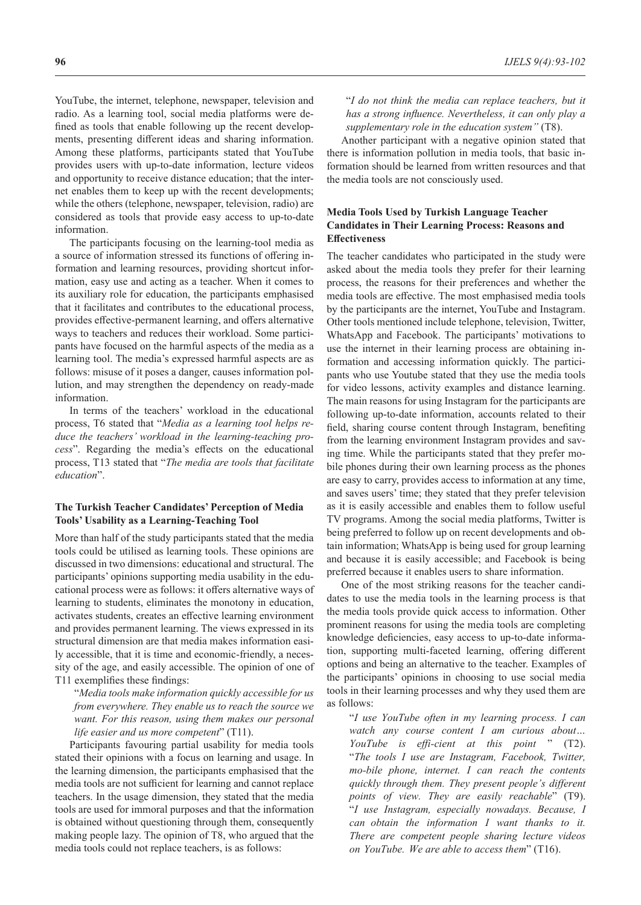YouTube, the internet, telephone, newspaper, television and radio. As a learning tool, social media platforms were defined as tools that enable following up the recent developments, presenting different ideas and sharing information. Among these platforms, participants stated that YouTube provides users with up-to-date information, lecture videos and opportunity to receive distance education; that the internet enables them to keep up with the recent developments; while the others (telephone, newspaper, television, radio) are considered as tools that provide easy access to up-to-date information.

The participants focusing on the learning-tool media as a source of information stressed its functions of offering information and learning resources, providing shortcut information, easy use and acting as a teacher. When it comes to its auxiliary role for education, the participants emphasised that it facilitates and contributes to the educational process, provides effective-permanent learning, and offers alternative ways to teachers and reduces their workload. Some participants have focused on the harmful aspects of the media as a learning tool. The media's expressed harmful aspects are as follows: misuse of it poses a danger, causes information pollution, and may strengthen the dependency on ready-made information.

In terms of the teachers' workload in the educational process, T6 stated that "*Media as a learning tool helps reduce the teachers' workload in the learning-teaching process*". Regarding the media's effects on the educational process, T13 stated that "*The media are tools that facilitate education*".

#### **The Turkish Teacher Candidates' Perception of Media Tools' Usability as a Learning-Teaching Tool**

More than half of the study participants stated that the media tools could be utilised as learning tools. These opinions are discussed in two dimensions: educational and structural. The participants' opinions supporting media usability in the educational process were as follows: it offers alternative ways of learning to students, eliminates the monotony in education, activates students, creates an effective learning environment and provides permanent learning. The views expressed in its structural dimension are that media makes information easily accessible, that it is time and economic-friendly, a necessity of the age, and easily accessible. The opinion of one of T11 exemplifies these findings:

"*Media tools make information quickly accessible for us from everywhere. They enable us to reach the source we want. For this reason, using them makes our personal life easier and us more competent*" (T11).

Participants favouring partial usability for media tools stated their opinions with a focus on learning and usage. In the learning dimension, the participants emphasised that the media tools are not sufficient for learning and cannot replace teachers. In the usage dimension, they stated that the media tools are used for immoral purposes and that the information is obtained without questioning through them, consequently making people lazy. The opinion of T8, who argued that the media tools could not replace teachers, is as follows:

**96** *IJELS 9(4):93-102*

"*I do not think the media can replace teachers, but it has a strong influence. Nevertheless, it can only play a supplementary role in the education system"* (T8).

Another participant with a negative opinion stated that there is information pollution in media tools, that basic information should be learned from written resources and that the media tools are not consciously used.

#### **Media Tools Used by Turkish Language Teacher Candidates in Their Learning Process: Reasons and Effectiveness**

The teacher candidates who participated in the study were asked about the media tools they prefer for their learning process, the reasons for their preferences and whether the media tools are effective. The most emphasised media tools by the participants are the internet, YouTube and Instagram. Other tools mentioned include telephone, television, Twitter, WhatsApp and Facebook. The participants' motivations to use the internet in their learning process are obtaining information and accessing information quickly. The participants who use Youtube stated that they use the media tools for video lessons, activity examples and distance learning. The main reasons for using Instagram for the participants are following up-to-date information, accounts related to their field, sharing course content through Instagram, benefiting from the learning environment Instagram provides and saving time. While the participants stated that they prefer mobile phones during their own learning process as the phones are easy to carry, provides access to information at any time, and saves users' time; they stated that they prefer television as it is easily accessible and enables them to follow useful TV programs. Among the social media platforms, Twitter is being preferred to follow up on recent developments and obtain information; WhatsApp is being used for group learning and because it is easily accessible; and Facebook is being preferred because it enables users to share information.

One of the most striking reasons for the teacher candidates to use the media tools in the learning process is that the media tools provide quick access to information. Other prominent reasons for using the media tools are completing knowledge deficiencies, easy access to up-to-date information, supporting multi-faceted learning, offering different options and being an alternative to the teacher. Examples of the participants' opinions in choosing to use social media tools in their learning processes and why they used them are as follows:

"*I use YouTube often in my learning process. I can watch any course content I am curious about… YouTube is effi-cient at this point* " (T2). "*The tools I use are Instagram, Facebook, Twitter, mo-bile phone, internet. I can reach the contents quickly through them. They present people's different points of view. They are easily reachable*" (T9). "*I use Instagram, especially nowadays. Because, I can obtain the information I want thanks to it. There are competent people sharing lecture videos on YouTube. We are able to access them*" (T16).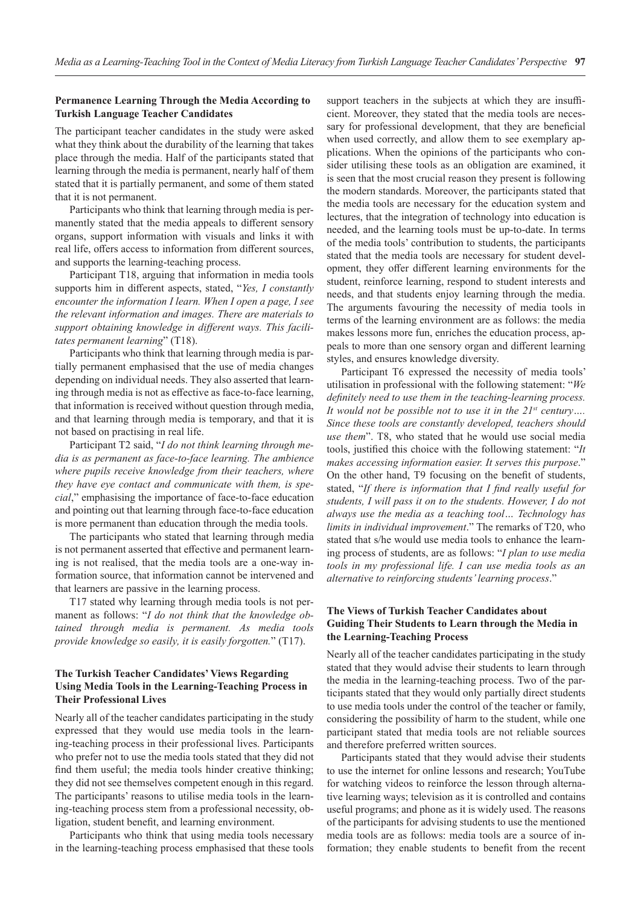### **Permanence Learning Through the Media According to Turkish Language Teacher Candidates**

The participant teacher candidates in the study were asked what they think about the durability of the learning that takes place through the media. Half of the participants stated that learning through the media is permanent, nearly half of them stated that it is partially permanent, and some of them stated that it is not permanent.

Participants who think that learning through media is permanently stated that the media appeals to different sensory organs, support information with visuals and links it with real life, offers access to information from different sources, and supports the learning-teaching process.

Participant T18, arguing that information in media tools supports him in different aspects, stated, "*Yes, I constantly encounter the information I learn. When I open a page, I see the relevant information and images. There are materials to support obtaining knowledge in different ways. This facilitates permanent learning*" (T18).

Participants who think that learning through media is partially permanent emphasised that the use of media changes depending on individual needs. They also asserted that learning through media is not as effective as face-to-face learning, that information is received without question through media, and that learning through media is temporary, and that it is not based on practising in real life.

Participant T2 said, "*I do not think learning through media is as permanent as face-to-face learning. The ambience where pupils receive knowledge from their teachers, where they have eye contact and communicate with them, is special*," emphasising the importance of face-to-face education and pointing out that learning through face-to-face education is more permanent than education through the media tools.

The participants who stated that learning through media is not permanent asserted that effective and permanent learning is not realised, that the media tools are a one-way information source, that information cannot be intervened and that learners are passive in the learning process.

T17 stated why learning through media tools is not permanent as follows: "*I do not think that the knowledge obtained through media is permanent. As media tools provide knowledge so easily, it is easily forgotten.*" (T17).

### **The Turkish Teacher Candidates' Views Regarding Using Media Tools in the Learning-Teaching Process in Their Professional Lives**

Nearly all of the teacher candidates participating in the study expressed that they would use media tools in the learning-teaching process in their professional lives. Participants who prefer not to use the media tools stated that they did not find them useful; the media tools hinder creative thinking; they did not see themselves competent enough in this regard. The participants' reasons to utilise media tools in the learning-teaching process stem from a professional necessity, obligation, student benefit, and learning environment.

Participants who think that using media tools necessary in the learning-teaching process emphasised that these tools support teachers in the subjects at which they are insufficient. Moreover, they stated that the media tools are necessary for professional development, that they are beneficial when used correctly, and allow them to see exemplary applications. When the opinions of the participants who consider utilising these tools as an obligation are examined, it is seen that the most crucial reason they present is following the modern standards. Moreover, the participants stated that the media tools are necessary for the education system and lectures, that the integration of technology into education is needed, and the learning tools must be up-to-date. In terms of the media tools' contribution to students, the participants stated that the media tools are necessary for student development, they offer different learning environments for the student, reinforce learning, respond to student interests and needs, and that students enjoy learning through the media. The arguments favouring the necessity of media tools in terms of the learning environment are as follows: the media makes lessons more fun, enriches the education process, appeals to more than one sensory organ and different learning styles, and ensures knowledge diversity.

Participant T6 expressed the necessity of media tools' utilisation in professional with the following statement: "*We definitely need to use them in the teaching-learning process. It would not be possible not to use it in the 21st century…. Since these tools are constantly developed, teachers should use them*". T8, who stated that he would use social media tools, justified this choice with the following statement: "*It makes accessing information easier. It serves this purpose*." On the other hand, T9 focusing on the benefit of students, stated, "*If there is information that I find really useful for students, I will pass it on to the students. However, I do not always use the media as a teaching tool… Technology has limits in individual improvement*." The remarks of T20, who stated that s/he would use media tools to enhance the learning process of students, are as follows: "*I plan to use media tools in my professional life. I can use media tools as an alternative to reinforcing students' learning process*."

### **The Views of Turkish Teacher Candidates about Guiding Their Students to Learn through the Media in the Learning-Teaching Process**

Nearly all of the teacher candidates participating in the study stated that they would advise their students to learn through the media in the learning-teaching process. Two of the participants stated that they would only partially direct students to use media tools under the control of the teacher or family, considering the possibility of harm to the student, while one participant stated that media tools are not reliable sources and therefore preferred written sources.

Participants stated that they would advise their students to use the internet for online lessons and research; YouTube for watching videos to reinforce the lesson through alternative learning ways; television as it is controlled and contains useful programs; and phone as it is widely used. The reasons of the participants for advising students to use the mentioned media tools are as follows: media tools are a source of information; they enable students to benefit from the recent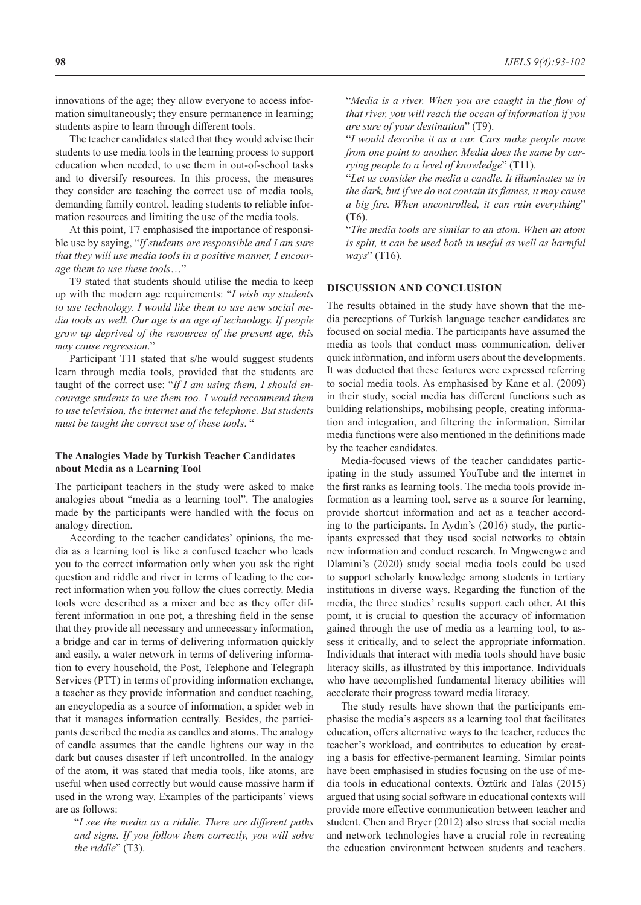innovations of the age; they allow everyone to access information simultaneously; they ensure permanence in learning; students aspire to learn through different tools.

The teacher candidates stated that they would advise their students to use media tools in the learning process to support education when needed, to use them in out-of-school tasks and to diversify resources. In this process, the measures they consider are teaching the correct use of media tools, demanding family control, leading students to reliable information resources and limiting the use of the media tools.

At this point, T7 emphasised the importance of responsible use by saying, "*If students are responsible and I am sure that they will use media tools in a positive manner, I encourage them to use these tools*…"

T9 stated that students should utilise the media to keep up with the modern age requirements: "*I wish my students to use technology. I would like them to use new social media tools as well. Our age is an age of technology. If people grow up deprived of the resources of the present age, this may cause regression*."

Participant T11 stated that s/he would suggest students learn through media tools, provided that the students are taught of the correct use: "*If I am using them, I should encourage students to use them too. I would recommend them to use television, the internet and the telephone. But students must be taught the correct use of these tools*. "

### **The Analogies Made by Turkish Teacher Candidates about Media as a Learning Tool**

The participant teachers in the study were asked to make analogies about "media as a learning tool". The analogies made by the participants were handled with the focus on analogy direction.

According to the teacher candidates' opinions, the media as a learning tool is like a confused teacher who leads you to the correct information only when you ask the right question and riddle and river in terms of leading to the correct information when you follow the clues correctly. Media tools were described as a mixer and bee as they offer different information in one pot, a threshing field in the sense that they provide all necessary and unnecessary information, a bridge and car in terms of delivering information quickly and easily, a water network in terms of delivering information to every household, the Post, Telephone and Telegraph Services (PTT) in terms of providing information exchange, a teacher as they provide information and conduct teaching, an encyclopedia as a source of information, a spider web in that it manages information centrally. Besides, the participants described the media as candles and atoms. The analogy of candle assumes that the candle lightens our way in the dark but causes disaster if left uncontrolled. In the analogy of the atom, it was stated that media tools, like atoms, are useful when used correctly but would cause massive harm if used in the wrong way. Examples of the participants' views are as follows:

"*I see the media as a riddle. There are different paths and signs. If you follow them correctly, you will solve the riddle*" (T3).

"*Media is a river. When you are caught in the flow of that river, you will reach the ocean of information if you are sure of your destination*" (T9).

"*I would describe it as a car. Cars make people move from one point to another. Media does the same by carrying people to a level of knowledge*" (T11).

"*Let us consider the media a candle. It illuminates us in the dark, but if we do not contain its flames, it may cause a big fire. When uncontrolled, it can ruin everything*" (T6).

"*The media tools are similar to an atom. When an atom is split, it can be used both in useful as well as harmful ways*" (T16).

## **DISCUSSION AND CONCLUSION**

The results obtained in the study have shown that the media perceptions of Turkish language teacher candidates are focused on social media. The participants have assumed the media as tools that conduct mass communication, deliver quick information, and inform users about the developments. It was deducted that these features were expressed referring to social media tools. As emphasised by Kane et al. (2009) in their study, social media has different functions such as building relationships, mobilising people, creating information and integration, and filtering the information. Similar media functions were also mentioned in the definitions made by the teacher candidates.

Media-focused views of the teacher candidates participating in the study assumed YouTube and the internet in the first ranks as learning tools. The media tools provide information as a learning tool, serve as a source for learning, provide shortcut information and act as a teacher according to the participants. In Aydın's (2016) study, the participants expressed that they used social networks to obtain new information and conduct research. In Mngwengwe and Dlamini's (2020) study social media tools could be used to support scholarly knowledge among students in tertiary institutions in diverse ways. Regarding the function of the media, the three studies' results support each other. At this point, it is crucial to question the accuracy of information gained through the use of media as a learning tool, to assess it critically, and to select the appropriate information. Individuals that interact with media tools should have basic literacy skills, as illustrated by this importance. Individuals who have accomplished fundamental literacy abilities will accelerate their progress toward media literacy.

The study results have shown that the participants emphasise the media's aspects as a learning tool that facilitates education, offers alternative ways to the teacher, reduces the teacher's workload, and contributes to education by creating a basis for effective-permanent learning. Similar points have been emphasised in studies focusing on the use of media tools in educational contexts. Öztürk and Talas (2015) argued that using social software in educational contexts will provide more effective communication between teacher and student. Chen and Bryer (2012) also stress that social media and network technologies have a crucial role in recreating the education environment between students and teachers.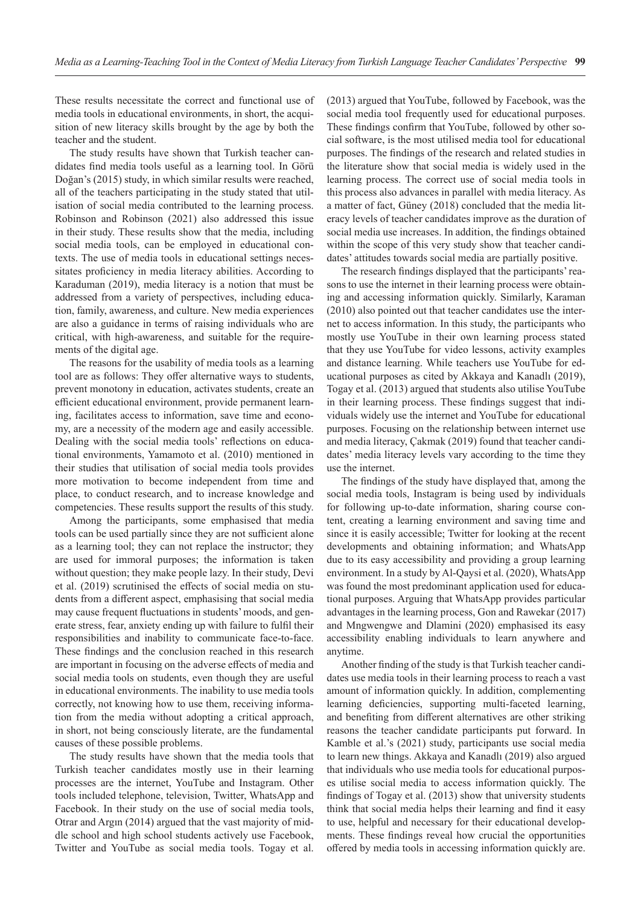These results necessitate the correct and functional use of media tools in educational environments, in short, the acquisition of new literacy skills brought by the age by both the teacher and the student.

The study results have shown that Turkish teacher candidates find media tools useful as a learning tool. In Görü Doğan's (2015) study, in which similar results were reached, all of the teachers participating in the study stated that utilisation of social media contributed to the learning process. Robinson and Robinson (2021) also addressed this issue in their study. These results show that the media, including social media tools, can be employed in educational contexts. The use of media tools in educational settings necessitates proficiency in media literacy abilities. According to Karaduman (2019), media literacy is a notion that must be addressed from a variety of perspectives, including education, family, awareness, and culture. New media experiences are also a guidance in terms of raising individuals who are critical, with high-awareness, and suitable for the requirements of the digital age.

The reasons for the usability of media tools as a learning tool are as follows: They offer alternative ways to students, prevent monotony in education, activates students, create an efficient educational environment, provide permanent learning, facilitates access to information, save time and economy, are a necessity of the modern age and easily accessible. Dealing with the social media tools' reflections on educational environments, Yamamoto et al. (2010) mentioned in their studies that utilisation of social media tools provides more motivation to become independent from time and place, to conduct research, and to increase knowledge and competencies. These results support the results of this study.

Among the participants, some emphasised that media tools can be used partially since they are not sufficient alone as a learning tool; they can not replace the instructor; they are used for immoral purposes; the information is taken without question; they make people lazy. In their study, Devi et al. (2019) scrutinised the effects of social media on students from a different aspect, emphasising that social media may cause frequent fluctuations in students' moods, and generate stress, fear, anxiety ending up with failure to fulfil their responsibilities and inability to communicate face-to-face. These findings and the conclusion reached in this research are important in focusing on the adverse effects of media and social media tools on students, even though they are useful in educational environments. The inability to use media tools correctly, not knowing how to use them, receiving information from the media without adopting a critical approach, in short, not being consciously literate, are the fundamental causes of these possible problems.

The study results have shown that the media tools that Turkish teacher candidates mostly use in their learning processes are the internet, YouTube and Instagram. Other tools included telephone, television, Twitter, WhatsApp and Facebook. In their study on the use of social media tools, Otrar and Argın (2014) argued that the vast majority of middle school and high school students actively use Facebook, Twitter and YouTube as social media tools. Togay et al. (2013) argued that YouTube, followed by Facebook, was the social media tool frequently used for educational purposes. These findings confirm that YouTube, followed by other social software, is the most utilised media tool for educational purposes. The findings of the research and related studies in the literature show that social media is widely used in the learning process. The correct use of social media tools in this process also advances in parallel with media literacy. As a matter of fact, Güney (2018) concluded that the media literacy levels of teacher candidates improve as the duration of social media use increases. In addition, the findings obtained within the scope of this very study show that teacher candidates' attitudes towards social media are partially positive.

The research findings displayed that the participants' reasons to use the internet in their learning process were obtaining and accessing information quickly. Similarly, Karaman (2010) also pointed out that teacher candidates use the internet to access information. In this study, the participants who mostly use YouTube in their own learning process stated that they use YouTube for video lessons, activity examples and distance learning. While teachers use YouTube for educational purposes as cited by Akkaya and Kanadlı (2019), Togay et al. (2013) argued that students also utilise YouTube in their learning process. These findings suggest that individuals widely use the internet and YouTube for educational purposes. Focusing on the relationship between internet use and media literacy, Çakmak (2019) found that teacher candidates' media literacy levels vary according to the time they use the internet.

The findings of the study have displayed that, among the social media tools, Instagram is being used by individuals for following up-to-date information, sharing course content, creating a learning environment and saving time and since it is easily accessible; Twitter for looking at the recent developments and obtaining information; and WhatsApp due to its easy accessibility and providing a group learning environment. In a study by Al-Qaysi et al. (2020), WhatsApp was found the most predominant application used for educational purposes. Arguing that WhatsApp provides particular advantages in the learning process, Gon and Rawekar (2017) and Mngwengwe and Dlamini (2020) emphasised its easy accessibility enabling individuals to learn anywhere and anytime.

Another finding of the study is that Turkish teacher candidates use media tools in their learning process to reach a vast amount of information quickly. In addition, complementing learning deficiencies, supporting multi-faceted learning, and benefiting from different alternatives are other striking reasons the teacher candidate participants put forward. In Kamble et al.'s (2021) study, participants use social media to learn new things. Akkaya and Kanadlı (2019) also argued that individuals who use media tools for educational purposes utilise social media to access information quickly. The findings of Togay et al. (2013) show that university students think that social media helps their learning and find it easy to use, helpful and necessary for their educational developments. These findings reveal how crucial the opportunities offered by media tools in accessing information quickly are.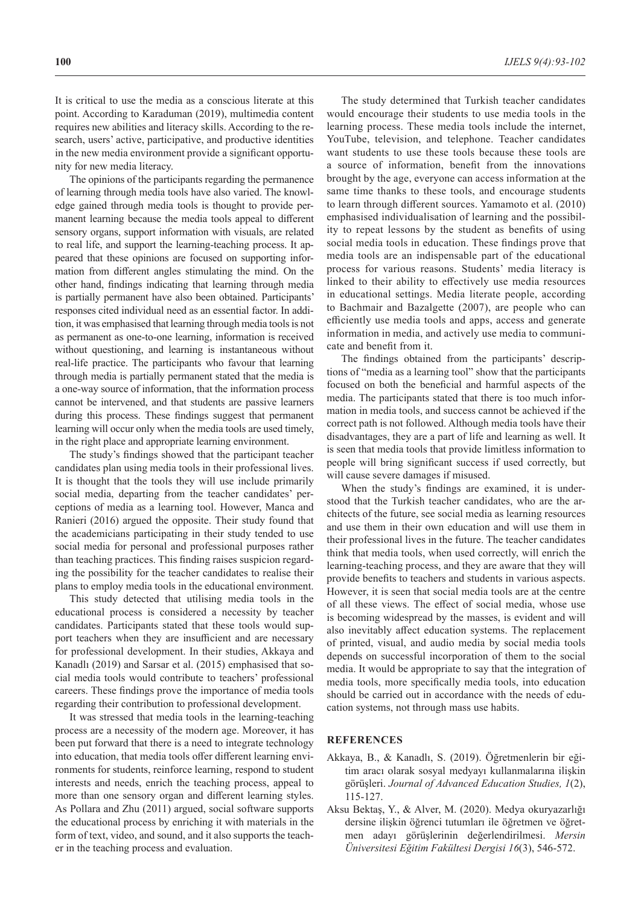It is critical to use the media as a conscious literate at this point. According to Karaduman (2019), multimedia content requires new abilities and literacy skills. According to the research, users' active, participative, and productive identities in the new media environment provide a significant opportunity for new media literacy.

The opinions of the participants regarding the permanence of learning through media tools have also varied. The knowledge gained through media tools is thought to provide permanent learning because the media tools appeal to different sensory organs, support information with visuals, are related to real life, and support the learning-teaching process. It appeared that these opinions are focused on supporting information from different angles stimulating the mind. On the other hand, findings indicating that learning through media is partially permanent have also been obtained. Participants' responses cited individual need as an essential factor. In addition, it was emphasised that learning through media tools is not as permanent as one-to-one learning, information is received without questioning, and learning is instantaneous without real-life practice. The participants who favour that learning through media is partially permanent stated that the media is a one-way source of information, that the information process cannot be intervened, and that students are passive learners during this process. These findings suggest that permanent learning will occur only when the media tools are used timely, in the right place and appropriate learning environment.

The study's findings showed that the participant teacher candidates plan using media tools in their professional lives. It is thought that the tools they will use include primarily social media, departing from the teacher candidates' perceptions of media as a learning tool. However, Manca and Ranieri (2016) argued the opposite. Their study found that the academicians participating in their study tended to use social media for personal and professional purposes rather than teaching practices. This finding raises suspicion regarding the possibility for the teacher candidates to realise their plans to employ media tools in the educational environment.

This study detected that utilising media tools in the educational process is considered a necessity by teacher candidates. Participants stated that these tools would support teachers when they are insufficient and are necessary for professional development. In their studies, Akkaya and Kanadlı (2019) and Sarsar et al. (2015) emphasised that social media tools would contribute to teachers' professional careers. These findings prove the importance of media tools regarding their contribution to professional development.

It was stressed that media tools in the learning-teaching process are a necessity of the modern age. Moreover, it has been put forward that there is a need to integrate technology into education, that media tools offer different learning environments for students, reinforce learning, respond to student interests and needs, enrich the teaching process, appeal to more than one sensory organ and different learning styles. As Pollara and Zhu (2011) argued, social software supports the educational process by enriching it with materials in the form of text, video, and sound, and it also supports the teacher in the teaching process and evaluation.

The study determined that Turkish teacher candidates would encourage their students to use media tools in the learning process. These media tools include the internet, YouTube, television, and telephone. Teacher candidates want students to use these tools because these tools are a source of information, benefit from the innovations brought by the age, everyone can access information at the same time thanks to these tools, and encourage students to learn through different sources. Yamamoto et al. (2010) emphasised individualisation of learning and the possibility to repeat lessons by the student as benefits of using social media tools in education. These findings prove that media tools are an indispensable part of the educational process for various reasons. Students' media literacy is linked to their ability to effectively use media resources in educational settings. Media literate people, according to Bachmair and Bazalgette (2007), are people who can efficiently use media tools and apps, access and generate information in media, and actively use media to communicate and benefit from it.

The findings obtained from the participants' descriptions of "media as a learning tool" show that the participants focused on both the beneficial and harmful aspects of the media. The participants stated that there is too much information in media tools, and success cannot be achieved if the correct path is not followed. Although media tools have their disadvantages, they are a part of life and learning as well. It is seen that media tools that provide limitless information to people will bring significant success if used correctly, but will cause severe damages if misused.

When the study's findings are examined, it is understood that the Turkish teacher candidates, who are the architects of the future, see social media as learning resources and use them in their own education and will use them in their professional lives in the future. The teacher candidates think that media tools, when used correctly, will enrich the learning-teaching process, and they are aware that they will provide benefits to teachers and students in various aspects. However, it is seen that social media tools are at the centre of all these views. The effect of social media, whose use is becoming widespread by the masses, is evident and will also inevitably affect education systems. The replacement of printed, visual, and audio media by social media tools depends on successful incorporation of them to the social media. It would be appropriate to say that the integration of media tools, more specifically media tools, into education should be carried out in accordance with the needs of education systems, not through mass use habits.

#### **REFERENCES**

- Akkaya, B., & Kanadlı, S. (2019). Öğretmenlerin bir eğitim aracı olarak sosyal medyayı kullanmalarına ilişkin görüşleri. *Journal of Advanced Education Studies, 1*(2), 115-127.
- Aksu Bektaş, Y., & Alver, M. (2020). Medya okuryazarlığı dersine ilişkin öğrenci tutumları ile öğretmen ve öğretmen adayı görüşlerinin değerlendirilmesi. *Mersin Üniversitesi Eğitim Fakültesi Dergisi 16*(3), 546-572.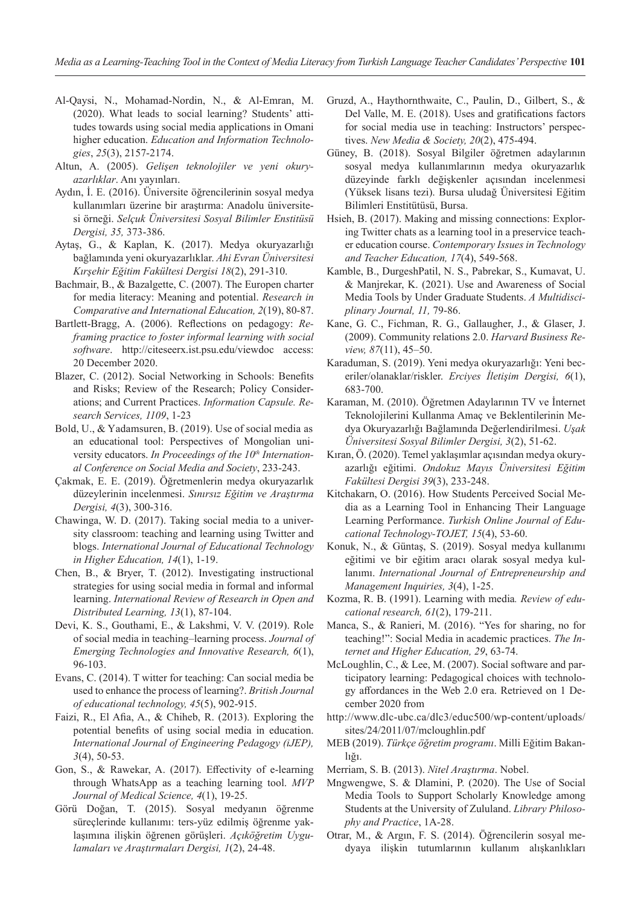- Al-Qaysi, N., Mohamad-Nordin, N., & Al-Emran, M. (2020). What leads to social learning? Students' attitudes towards using social media applications in Omani higher education. *Education and Information Technologies*, *25*(3), 2157-2174.
- Altun, A. (2005). *Gelişen teknolojiler ve yeni okuryazarlıklar*. Anı yayınları.
- Aydın, İ. E. (2016). Üniversite öğrencilerinin sosyal medya kullanımları üzerine bir araştırma: Anadolu üniversitesi örneği. *Selçuk Üniversitesi Sosyal Bilimler Enstitüsü Dergisi, 35,* 373-386.
- Aytaş, G., & Kaplan, K. (2017). Medya okuryazarlığı bağlamında yeni okuryazarlıklar. *Ahi Evran Üniversitesi Kırşehir Eğitim Fakültesi Dergisi 18*(2), 291-310.
- Bachmair, B., & Bazalgette, C. (2007). The Europen charter for media literacy: Meaning and potential. *Research in Comparative and International Education, 2*(19), 80-87.
- Bartlett-Bragg, A. (2006). Reflections on pedagogy: *Reframing practice to foster informal learning with social software*. http://citeseerx.ist.psu.edu/viewdoc access: 20 December 2020.
- Blazer, C. (2012). Social Networking in Schools: Benefits and Risks; Review of the Research; Policy Considerations; and Current Practices. *Information Capsule. Research Services, 1109*, 1-23
- Bold, U., & Yadamsuren, B. (2019). Use of social media as an educational tool: Perspectives of Mongolian university educators. *In Proceedings of the 10th International Conference on Social Media and Society*, 233-243.
- Çakmak, E. E. (2019). Öğretmenlerin medya okuryazarlık düzeylerinin incelenmesi. *Sınırsız Eğitim ve Araştırma Dergisi, 4*(3), 300-316.
- Chawinga, W. D. (2017). Taking social media to a university classroom: teaching and learning using Twitter and blogs. *International Journal of Educational Technology in Higher Education, 14*(1), 1-19.
- Chen, B., & Bryer, T. (2012). Investigating instructional strategies for using social media in formal and informal learning. *International Review of Research in Open and Distributed Learning, 13*(1), 87-104.
- Devi, K. S., Gouthami, E., & Lakshmi, V. V. (2019). Role of social media in teaching–learning process. *Journal of Emerging Technologies and Innovative Research, 6*(1), 96-103.
- Evans, C. (2014). T witter for teaching: Can social media be used to enhance the process of learning?. *British Journal of educational technology, 45*(5), 902-915.
- Faizi, R., El Afia, A., & Chiheb, R. (2013). Exploring the potential benefits of using social media in education. *International Journal of Engineering Pedagogy (iJEP), 3*(4), 50-53.
- Gon, S., & Rawekar, A. (2017). Effectivity of e-learning through WhatsApp as a teaching learning tool. *MVP Journal of Medical Science, 4*(1), 19-25.
- Görü Doğan, T. (2015). Sosyal medyanın öğrenme süreçlerinde kullanımı: ters-yüz edilmiş öğrenme yaklaşımına ilişkin öğrenen görüşleri. *Açıköğretim Uygulamaları ve Araştırmaları Dergisi, 1*(2), 24-48.
- Gruzd, A., Haythornthwaite, C., Paulin, D., Gilbert, S., & Del Valle, M. E. (2018). Uses and gratifications factors for social media use in teaching: Instructors' perspectives. *New Media & Society, 20*(2), 475-494.
- Güney, B. (2018). Sosyal Bilgiler öğretmen adaylarının sosyal medya kullanımlarının medya okuryazarlık düzeyinde farklı değişkenler açısından incelenmesi (Yüksek lisans tezi). Bursa uludağ Üniversitesi Eğitim Bilimleri Enstitütüsü, Bursa.
- Hsieh, B. (2017). Making and missing connections: Exploring Twitter chats as a learning tool in a preservice teacher education course. *Contemporary Issues in Technology and Teacher Education, 17*(4), 549-568.
- Kamble, B., DurgeshPatil, N. S., Pabrekar, S., Kumavat, U. & Manjrekar, K. (2021). Use and Awareness of Social Media Tools by Under Graduate Students. *A Multidisciplinary Journal, 11,* 79-86.
- Kane, G. C., Fichman, R. G., Gallaugher, J., & Glaser, J. (2009). Community relations 2.0. *Harvard Business Review, 87*(11), 45–50.
- Karaduman, S. (2019). Yeni medya okuryazarlığı: Yeni beceriler/olanaklar/riskler. *Erciyes İletişim Dergisi, 6*(1), 683-700.
- Karaman, M. (2010). Öğretmen Adaylarının TV ve İnternet Teknolojilerini Kullanma Amaç ve Beklentilerinin Medya Okuryazarlığı Bağlamında Değerlendirilmesi. *Uşak Üniversitesi Sosyal Bilimler Dergisi, 3*(2), 51-62.
- Kıran, Ö. (2020). Temel yaklaşımlar açısından medya okuryazarlığı eğitimi. *Ondokuz Mayıs Üniversitesi Eğitim Fakültesi Dergisi 39*(3), 233-248.
- Kitchakarn, O. (2016). How Students Perceived Social Media as a Learning Tool in Enhancing Their Language Learning Performance. *Turkish Online Journal of Educational Technology-TOJET, 15*(4), 53-60.
- Konuk, N., & Güntaş, S. (2019). Sosyal medya kullanımı eğitimi ve bir eğitim aracı olarak sosyal medya kullanımı. *International Journal of Entrepreneurship and Management Inquiries, 3*(4), 1-25.
- Kozma, R. B. (1991). Learning with media*. Review of educational research, 61*(2), 179-211.
- Manca, S., & Ranieri, M. (2016). "Yes for sharing, no for teaching!": Social Media in academic practices. *The Internet and Higher Education, 29*, 63-74.
- McLoughlin, C., & Lee, M. (2007). Social software and participatory learning: Pedagogical choices with technology affordances in the Web 2.0 era. Retrieved on 1 December 2020 from
- http://www.dlc-ubc.ca/dlc3/educ500/wp-content/uploads/ sites/24/2011/07/mcloughlin.pdf
- MEB (2019). *Türkçe öğretim programı*. Milli Eğitim Bakanlığı.
- Merriam, S. B. (2013). *Nitel Araştırma*. Nobel.
- Mngwengwe, S. & Dlamini, P. (2020). The Use of Social Media Tools to Support Scholarly Knowledge among Students at the University of Zululand. *Library Philosophy and Practice*, 1A-28.
- Otrar, M., & Argın, F. S. (2014). Öğrencilerin sosyal medyaya ilişkin tutumlarının kullanım alışkanlıkları